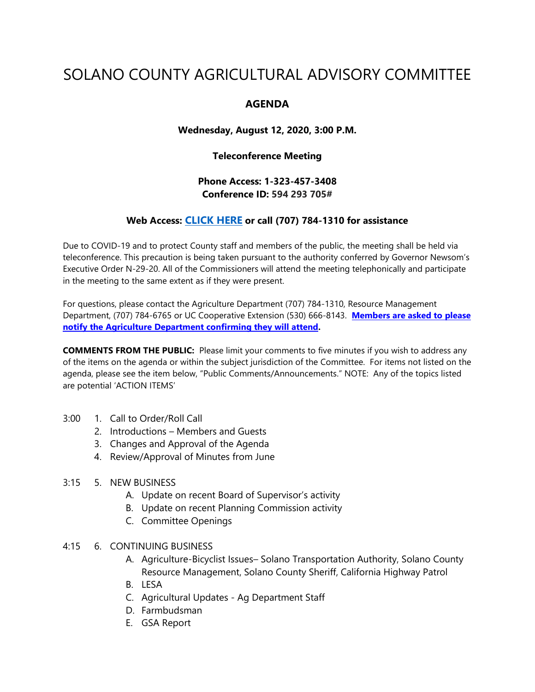# SOLANO COUNTY AGRICULTURAL ADVISORY COMMITTEE

## **AGENDA**

**Wednesday, August 12, 2020, 3:00 P.M.**

#### **Teleconference Meeting**

**Phone Access: 1-323-457-3408 Conference ID: 594 293 705#**

### **Web Access: [CLICK HERE](https://teams.microsoft.com/l/meetup-join/19%3ameeting_NjNiZmE1YTktM2UzYS00ZjY1LTg4NDktZDgwMGJkNzdjNzc1%40thread.v2/0?context=%7b%22Tid%22%3a%225e7f20ac-e5f1-4f83-8c3b-ce44b8486421%22%2c%22Oid%22%3a%229b7e0b10-9feb-4114-92ef-db737a66fd13%22%7d) or call (707) 784-1310 for assistance**

Due to COVID-19 and to protect County staff and members of the public, the meeting shall be held via teleconference. This precaution is being taken pursuant to the authority conferred by Governor Newsom's Executive Order N-29-20. All of the Commissioners will attend the meeting telephonically and participate in the meeting to the same extent as if they were present.

For questions, please contact the Agriculture Department (707) 784-1310, Resource Management Department, (707) 784-6765 or UC Cooperative Extension (530) 666-8143. **Members are asked to please notify the Agriculture Department confirming they will attend.** 

**COMMENTS FROM THE PUBLIC:** Please limit your comments to five minutes if you wish to address any of the items on the agenda or within the subject jurisdiction of the Committee. For items not listed on the agenda, please see the item below, "Public Comments/Announcements." NOTE: Any of the topics listed are potential 'ACTION ITEMS'

- 3:00 1. Call to Order/Roll Call
	- 2. Introductions Members and Guests
	- 3. Changes and Approval of the Agenda
	- 4. Review/Approval of Minutes from June
- 3:15 5. NEW BUSINESS
	- A. Update on recent Board of Supervisor's activity
	- B. Update on recent Planning Commission activity
	- C. Committee Openings
- 4:15 6. CONTINUING BUSINESS
	- A. Agriculture-Bicyclist Issues– Solano Transportation Authority, Solano County Resource Management, Solano County Sheriff, California Highway Patrol
	- B. LESA
	- C. Agricultural Updates Ag Department Staff
	- D. Farmbudsman
	- E. GSA Report